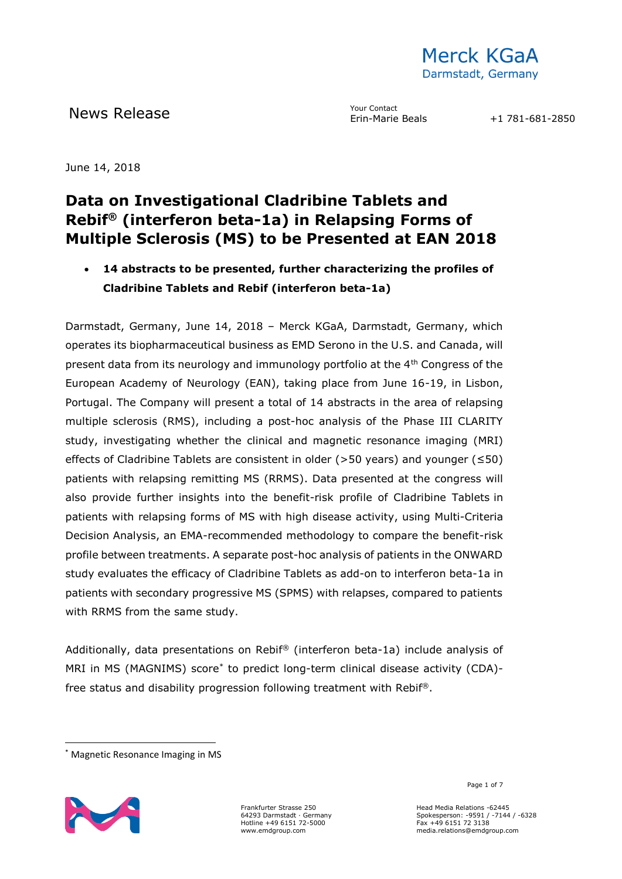

News Release The Maria Contact Providence Contact

June 14, 2018

## **Data on Investigational Cladribine Tablets and Rebif® (interferon beta-1a) in Relapsing Forms of Multiple Sclerosis (MS) to be Presented at EAN 2018**

• **14 abstracts to be presented, further characterizing the profiles of Cladribine Tablets and Rebif (interferon beta-1a)**

Darmstadt, Germany, June 14, 2018 – Merck KGaA, Darmstadt, Germany, which operates its biopharmaceutical business as EMD Serono in the U.S. and Canada, will present data from its neurology and immunology portfolio at the 4<sup>th</sup> Congress of the European Academy of Neurology (EAN), taking place from June 16-19, in Lisbon, Portugal. The Company will present a total of 14 abstracts in the area of relapsing multiple sclerosis (RMS), including a post-hoc analysis of the Phase III CLARITY study, investigating whether the clinical and magnetic resonance imaging (MRI) effects of Cladribine Tablets are consistent in older (>50 years) and younger ( $\leq 50$ ) patients with relapsing remitting MS (RRMS). Data presented at the congress will also provide further insights into the benefit-risk profile of Cladribine Tablets in patients with relapsing forms of MS with high disease activity, using Multi-Criteria Decision Analysis, an EMA-recommended methodology to compare the benefit-risk profile between treatments. A separate post-hoc analysis of patients in the ONWARD study evaluates the efficacy of Cladribine Tablets as add-on to interferon beta-1a in patients with secondary progressive MS (SPMS) with relapses, compared to patients with RRMS from the same study.

Additionally, data presentations on Rebif® (interferon beta-1a) include analysis of MRI in MS (MAGNIMS) score\* to predict long-term clinical disease activity (CDA) free status and disability progression following treatment with Rebif®.

<sup>\*</sup> Magnetic Resonance Imaging in MS



-

Frankfurter Strasse 250 64293 Darmstadt · Germany Hotline +49 6151 72-5000 www.emdgroup.com

Page 1 of 7  $^{\circ}$ 

Head Media Relations -62445 Spokesperson: -9591 / -7144 / -6328 Fax +49 6151 72 3138 media.relations@emdgroup.com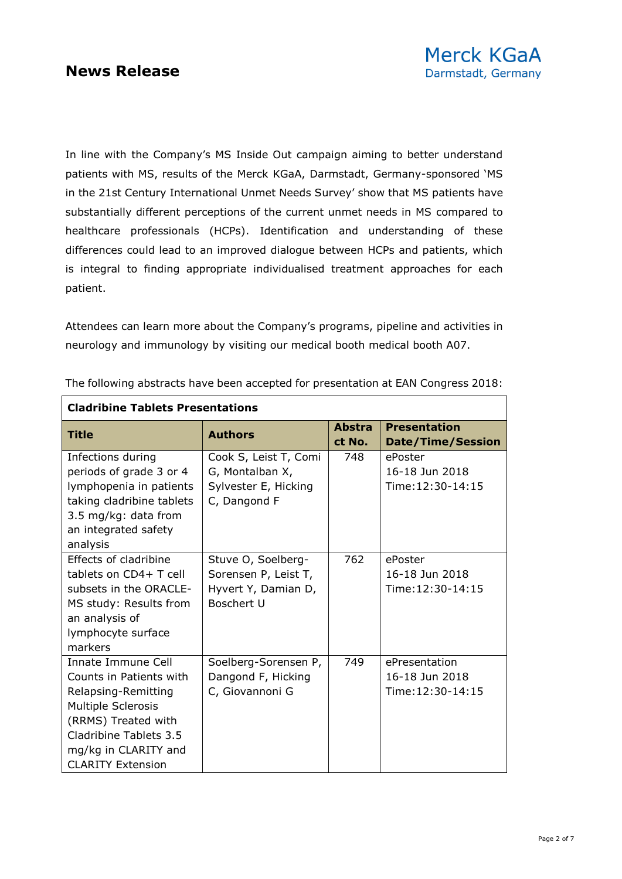┍

٦

In line with the Company's MS Inside Out campaign aiming to better understand patients with MS, results of the Merck KGaA, Darmstadt, Germany-sponsored 'MS in the 21st Century International Unmet Needs Survey' show that MS patients have substantially different perceptions of the current unmet needs in MS compared to healthcare professionals (HCPs). Identification and understanding of these differences could lead to an improved dialogue between HCPs and patients, which is integral to finding appropriate individualised treatment approaches for each patient.

Attendees can learn more about the Company's programs, pipeline and activities in neurology and immunology by visiting our medical booth medical booth A07.

| <b>Cladribine Tablets Presentations</b>                                                                                                                                                         |                                                                                        |                         |                                                      |  |
|-------------------------------------------------------------------------------------------------------------------------------------------------------------------------------------------------|----------------------------------------------------------------------------------------|-------------------------|------------------------------------------------------|--|
| <b>Title</b>                                                                                                                                                                                    | <b>Authors</b>                                                                         | <b>Abstra</b><br>ct No. | <b>Presentation</b><br><b>Date/Time/Session</b>      |  |
| Infections during<br>periods of grade 3 or 4<br>lymphopenia in patients<br>taking cladribine tablets<br>3.5 mg/kg: data from<br>an integrated safety<br>analysis                                | Cook S, Leist T, Comi<br>G, Montalban X,<br>Sylvester E, Hicking<br>C, Dangond F       | 748                     | ePoster<br>16-18 Jun 2018<br>Time: 12:30-14:15       |  |
| Effects of cladribine<br>tablets on CD4+ T cell<br>subsets in the ORACLE-<br>MS study: Results from<br>an analysis of<br>lymphocyte surface<br>markers                                          | Stuve O, Soelberg-<br>Sorensen P, Leist T,<br>Hyvert Y, Damian D,<br><b>Boschert U</b> | 762                     | ePoster<br>16-18 Jun 2018<br>Time: 12:30-14:15       |  |
| Innate Immune Cell<br>Counts in Patients with<br>Relapsing-Remitting<br>Multiple Sclerosis<br>(RRMS) Treated with<br>Cladribine Tablets 3.5<br>mg/kg in CLARITY and<br><b>CLARITY Extension</b> | Soelberg-Sorensen P,<br>Dangond F, Hicking<br>C, Giovannoni G                          | 749                     | ePresentation<br>16-18 Jun 2018<br>Time: 12:30-14:15 |  |

The following abstracts have been accepted for presentation at EAN Congress 2018: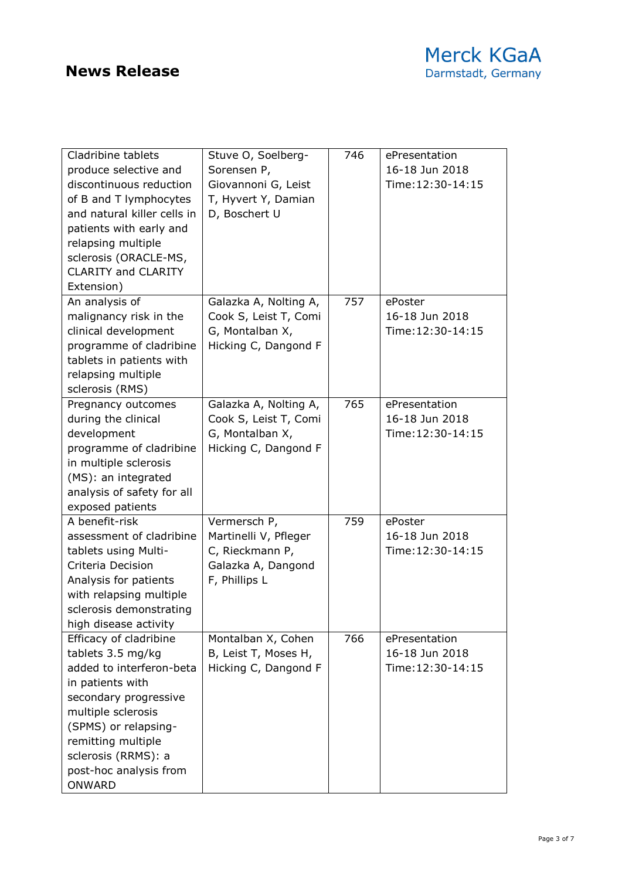| Cladribine tablets<br>produce selective and<br>discontinuous reduction<br>of B and T lymphocytes<br>and natural killer cells in<br>patients with early and<br>relapsing multiple<br>sclerosis (ORACLE-MS,<br><b>CLARITY and CLARITY</b><br>Extension) | Stuve O, Soelberg-<br>Sorensen P,<br>Giovannoni G, Leist<br>T, Hyvert Y, Damian<br>D, Boschert U | 746 | ePresentation<br>16-18 Jun 2018<br>Time: 12:30-14:15 |
|-------------------------------------------------------------------------------------------------------------------------------------------------------------------------------------------------------------------------------------------------------|--------------------------------------------------------------------------------------------------|-----|------------------------------------------------------|
| An analysis of<br>malignancy risk in the<br>clinical development<br>programme of cladribine<br>tablets in patients with<br>relapsing multiple<br>sclerosis (RMS)                                                                                      | Galazka A, Nolting A,<br>Cook S, Leist T, Comi<br>G, Montalban X,<br>Hicking C, Dangond F        | 757 | ePoster<br>16-18 Jun 2018<br>Time: 12:30-14:15       |
| Pregnancy outcomes<br>during the clinical<br>development<br>programme of cladribine<br>in multiple sclerosis<br>(MS): an integrated<br>analysis of safety for all<br>exposed patients                                                                 | Galazka A, Nolting A,<br>Cook S, Leist T, Comi<br>G, Montalban X,<br>Hicking C, Dangond F        | 765 | ePresentation<br>16-18 Jun 2018<br>Time: 12:30-14:15 |
| A benefit-risk<br>assessment of cladribine<br>tablets using Multi-<br>Criteria Decision<br>Analysis for patients<br>with relapsing multiple<br>sclerosis demonstrating<br>high disease activity                                                       | Vermersch P,<br>Martinelli V, Pfleger<br>C, Rieckmann P,<br>Galazka A, Dangond<br>F, Phillips L  | 759 | ePoster<br>16-18 Jun 2018<br>Time: 12:30-14:15       |
| Efficacy of cladribine<br>tablets 3.5 mg/kg<br>added to interferon-beta<br>in patients with<br>secondary progressive<br>multiple sclerosis<br>(SPMS) or relapsing-<br>remitting multiple<br>sclerosis (RRMS): a<br>post-hoc analysis from<br>ONWARD   | Montalban X, Cohen<br>B, Leist T, Moses H,<br>Hicking C, Dangond F                               | 766 | ePresentation<br>16-18 Jun 2018<br>Time: 12:30-14:15 |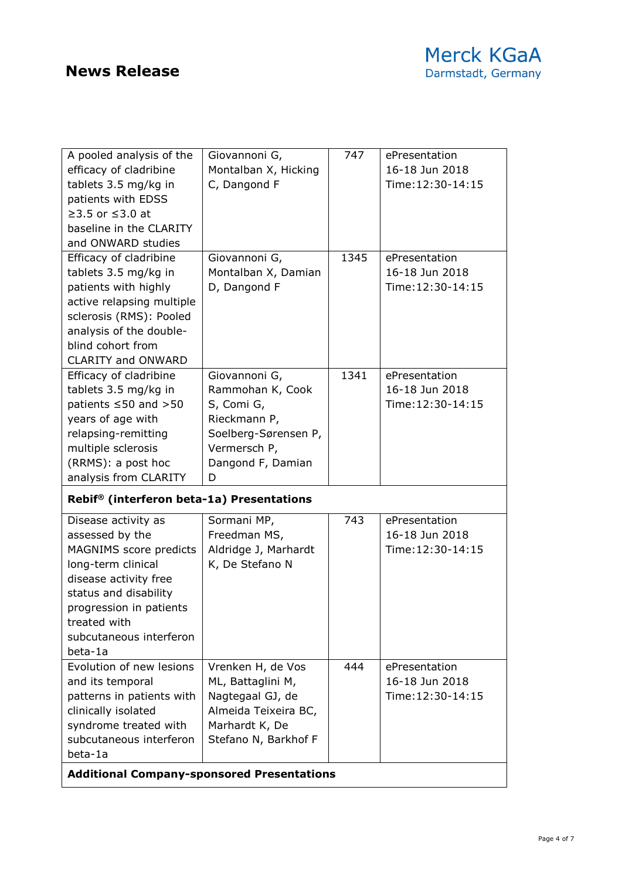| A pooled analysis of the<br>efficacy of cladribine           | Giovannoni G,<br>Montalban X, Hicking | 747  | ePresentation<br>16-18 Jun 2018 |
|--------------------------------------------------------------|---------------------------------------|------|---------------------------------|
| tablets 3.5 mg/kg in<br>patients with EDSS                   | C, Dangond F                          |      | Time: 12:30-14:15               |
| ≥3.5 or $≤3.0$ at                                            |                                       |      |                                 |
| baseline in the CLARITY                                      |                                       |      |                                 |
| and ONWARD studies                                           |                                       |      |                                 |
| Efficacy of cladribine                                       | Giovannoni G,                         | 1345 | ePresentation                   |
| tablets 3.5 mg/kg in                                         | Montalban X, Damian                   |      | 16-18 Jun 2018                  |
| patients with highly                                         | D, Dangond F                          |      | Time: 12:30-14:15               |
| active relapsing multiple                                    |                                       |      |                                 |
| sclerosis (RMS): Pooled<br>analysis of the double-           |                                       |      |                                 |
| blind cohort from                                            |                                       |      |                                 |
| <b>CLARITY and ONWARD</b>                                    |                                       |      |                                 |
| Efficacy of cladribine                                       | Giovannoni G,                         | 1341 | ePresentation                   |
| tablets 3.5 mg/kg in                                         | Rammohan K, Cook                      |      | 16-18 Jun 2018                  |
| patients $\leq$ 50 and $>$ 50                                | S, Comi G,                            |      | Time: 12:30-14:15               |
| years of age with                                            | Rieckmann P,                          |      |                                 |
| relapsing-remitting                                          | Soelberg-Sørensen P,                  |      |                                 |
| multiple sclerosis                                           | Vermersch P,                          |      |                                 |
| (RRMS): a post hoc                                           | Dangond F, Damian                     |      |                                 |
| analysis from CLARITY                                        | D                                     |      |                                 |
| Rebif® (interferon beta-1a) Presentations                    |                                       |      |                                 |
| Disease activity as                                          | Sormani MP,                           | 743  | ePresentation                   |
| assessed by the                                              | Freedman MS,                          |      | 16-18 Jun 2018                  |
| MAGNIMS score predicts                                       | Aldridge J, Marhardt                  |      | Time: 12:30-14:15               |
| long-term clinical                                           | K, De Stefano N                       |      |                                 |
| disease activity free                                        |                                       |      |                                 |
|                                                              |                                       |      |                                 |
| status and disability                                        |                                       |      |                                 |
| progression in patients                                      |                                       |      |                                 |
| treated with                                                 |                                       |      |                                 |
| subcutaneous interferon<br>beta-1a                           |                                       |      |                                 |
| Evolution of new lesions                                     | Vrenken H, de Vos                     | 444  | ePresentation                   |
| and its temporal                                             | ML, Battaglini M,                     |      | 16-18 Jun 2018                  |
| patterns in patients with                                    | Nagtegaal GJ, de                      |      | Time: 12:30-14:15               |
| clinically isolated                                          | Almeida Teixeira BC,                  |      |                                 |
| syndrome treated with                                        | Marhardt K, De                        |      |                                 |
| subcutaneous interferon                                      | Stefano N, Barkhof F                  |      |                                 |
| beta-1a<br><b>Additional Company-sponsored Presentations</b> |                                       |      |                                 |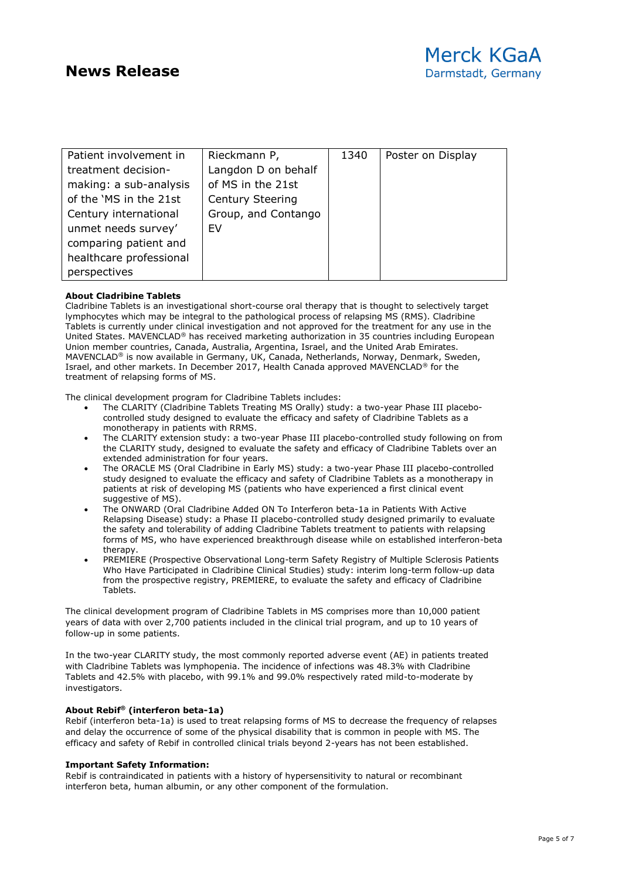| Patient involvement in  | Rieckmann P,            | 1340 | Poster on Display |
|-------------------------|-------------------------|------|-------------------|
|                         |                         |      |                   |
| treatment decision-     | Langdon D on behalf     |      |                   |
| making: a sub-analysis  | of MS in the 21st       |      |                   |
| of the 'MS in the 21st  | <b>Century Steering</b> |      |                   |
| Century international   | Group, and Contango     |      |                   |
| unmet needs survey'     | <b>FV</b>               |      |                   |
| comparing patient and   |                         |      |                   |
| healthcare professional |                         |      |                   |
| perspectives            |                         |      |                   |

### **About Cladribine Tablets**

Cladribine Tablets is an investigational short-course oral therapy that is thought to selectively target lymphocytes which may be integral to the pathological process of relapsing MS (RMS). Cladribine Tablets is currently under clinical investigation and not approved for the treatment for any use in the United States. MAVENCLAD® has received marketing authorization in 35 countries including European Union member countries, Canada, Australia, Argentina, Israel, and the United Arab Emirates. MAVENCLAD® is now available in Germany, UK, Canada, Netherlands, Norway, Denmark, Sweden, Israel, and other markets. In December 2017, Health Canada approved MAVENCLAD® for the treatment of relapsing forms of MS.

The clinical development program for Cladribine Tablets includes:

- The CLARITY (Cladribine Tablets Treating MS Orally) study: a two-year Phase III placebocontrolled study designed to evaluate the efficacy and safety of Cladribine Tablets as a monotherapy in patients with RRMS.
- The CLARITY extension study: a two-year Phase III placebo-controlled study following on from the CLARITY study, designed to evaluate the safety and efficacy of Cladribine Tablets over an extended administration for four years.
- The ORACLE MS (Oral Cladribine in Early MS) study: a two-year Phase III placebo-controlled study designed to evaluate the efficacy and safety of Cladribine Tablets as a monotherapy in patients at risk of developing MS (patients who have experienced a first clinical event suggestive of MS).
- The ONWARD (Oral Cladribine Added ON To Interferon beta-1a in Patients With Active Relapsing Disease) study: a Phase II placebo-controlled study designed primarily to evaluate the safety and tolerability of adding Cladribine Tablets treatment to patients with relapsing forms of MS, who have experienced breakthrough disease while on established interferon-beta therapy.
- PREMIERE (Prospective Observational Long-term Safety Registry of Multiple Sclerosis Patients Who Have Participated in Cladribine Clinical Studies) study: interim long-term follow-up data from the prospective registry, PREMIERE, to evaluate the safety and efficacy of Cladribine Tablets.

The clinical development program of Cladribine Tablets in MS comprises more than 10,000 patient years of data with over 2,700 patients included in the clinical trial program, and up to 10 years of follow-up in some patients.

In the two-year CLARITY study, the most commonly reported adverse event (AE) in patients treated with Cladribine Tablets was lymphopenia. The incidence of infections was 48.3% with Cladribine Tablets and 42.5% with placebo, with 99.1% and 99.0% respectively rated mild-to-moderate by investigators.

### **About Rebif® (interferon beta-1a)**

Rebif (interferon beta-1a) is used to treat relapsing forms of MS to decrease the frequency of relapses and delay the occurrence of some of the physical disability that is common in people with MS. The efficacy and safety of Rebif in controlled clinical trials beyond 2-years has not been established.

### **Important Safety Information:**

Rebif is contraindicated in patients with a history of hypersensitivity to natural or recombinant interferon beta, human albumin, or any other component of the formulation.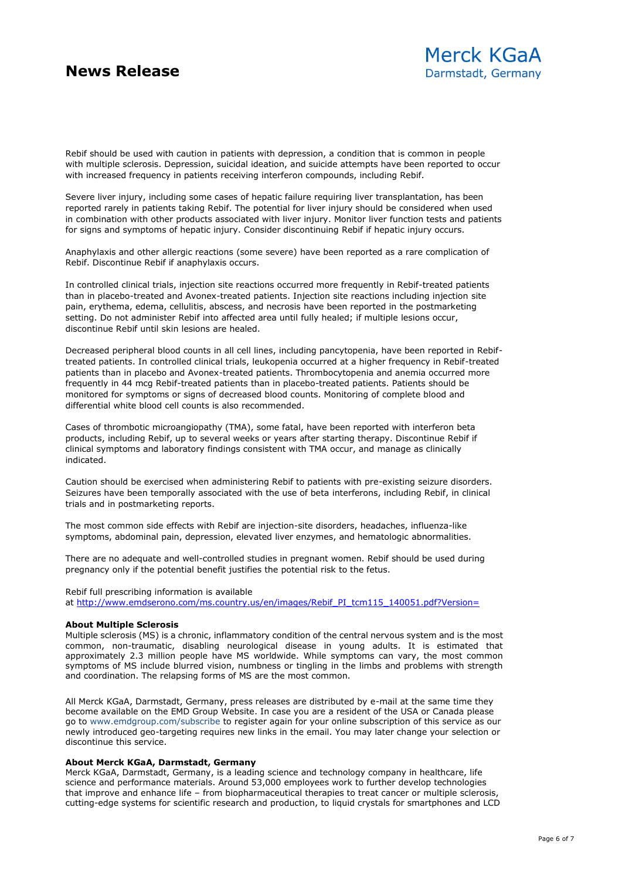Rebif should be used with caution in patients with depression, a condition that is common in people with multiple sclerosis. Depression, suicidal ideation, and suicide attempts have been reported to occur with increased frequency in patients receiving interferon compounds, including Rebif.

Severe liver injury, including some cases of hepatic failure requiring liver transplantation, has been reported rarely in patients taking Rebif. The potential for liver injury should be considered when used in combination with other products associated with liver injury. Monitor liver function tests and patients for signs and symptoms of hepatic injury. Consider discontinuing Rebif if hepatic injury occurs.

Anaphylaxis and other allergic reactions (some severe) have been reported as a rare complication of Rebif. Discontinue Rebif if anaphylaxis occurs.

In controlled clinical trials, injection site reactions occurred more frequently in Rebif-treated patients than in placebo-treated and Avonex-treated patients. Injection site reactions including injection site pain, erythema, edema, cellulitis, abscess, and necrosis have been reported in the postmarketing setting. Do not administer Rebif into affected area until fully healed; if multiple lesions occur, discontinue Rebif until skin lesions are healed.

Decreased peripheral blood counts in all cell lines, including pancytopenia, have been reported in Rebiftreated patients. In controlled clinical trials, leukopenia occurred at a higher frequency in Rebif-treated patients than in placebo and Avonex-treated patients. Thrombocytopenia and anemia occurred more frequently in 44 mcg Rebif-treated patients than in placebo-treated patients. Patients should be monitored for symptoms or signs of decreased blood counts. Monitoring of complete blood and differential white blood cell counts is also recommended.

Cases of thrombotic microangiopathy (TMA), some fatal, have been reported with interferon beta products, including Rebif, up to several weeks or years after starting therapy. Discontinue Rebif if clinical symptoms and laboratory findings consistent with TMA occur, and manage as clinically indicated.

Caution should be exercised when administering Rebif to patients with pre-existing seizure disorders. Seizures have been temporally associated with the use of beta interferons, including Rebif, in clinical trials and in postmarketing reports.

The most common side effects with Rebif are injection-site disorders, headaches, influenza-like symptoms, abdominal pain, depression, elevated liver enzymes, and hematologic abnormalities.

There are no adequate and well-controlled studies in pregnant women. Rebif should be used during pregnancy only if the potential benefit justifies the potential risk to the fetus.

#### Rebif full prescribing information is available

at [http://www.emdserono.com/ms.country.us/en/images/Rebif\\_PI\\_tcm115\\_140051.pdf?Version=](http://www.emdserono.com/ms.country.us/en/images/Rebif_PI_tcm115_140051.pdf?Version=)

#### **About Multiple Sclerosis**

Multiple sclerosis (MS) is a chronic, inflammatory condition of the central nervous system and is the most common, non-traumatic, disabling neurological disease in young adults. It is estimated that approximately 2.3 million people have MS worldwide. While symptoms can vary, the most common symptoms of MS include blurred vision, numbness or tingling in the limbs and problems with strength and coordination. The relapsing forms of MS are the most common.

All Merck KGaA, Darmstadt, Germany, press releases are distributed by e-mail at the same time they become available on the EMD Group Website. In case you are a resident of the USA or Canada please go to www.emdgroup.com/subscribe to register again for your online subscription of this service as our newly introduced geo-targeting requires new links in the email. You may later change your selection or discontinue this service.

### **About Merck KGaA, Darmstadt, Germany**

Merck KGaA, Darmstadt, Germany, is a leading science and technology company in healthcare, life science and performance materials. Around 53,000 employees work to further develop technologies that improve and enhance life – from biopharmaceutical therapies to treat cancer or multiple sclerosis, cutting-edge systems for scientific research and production, to liquid crystals for smartphones and LCD